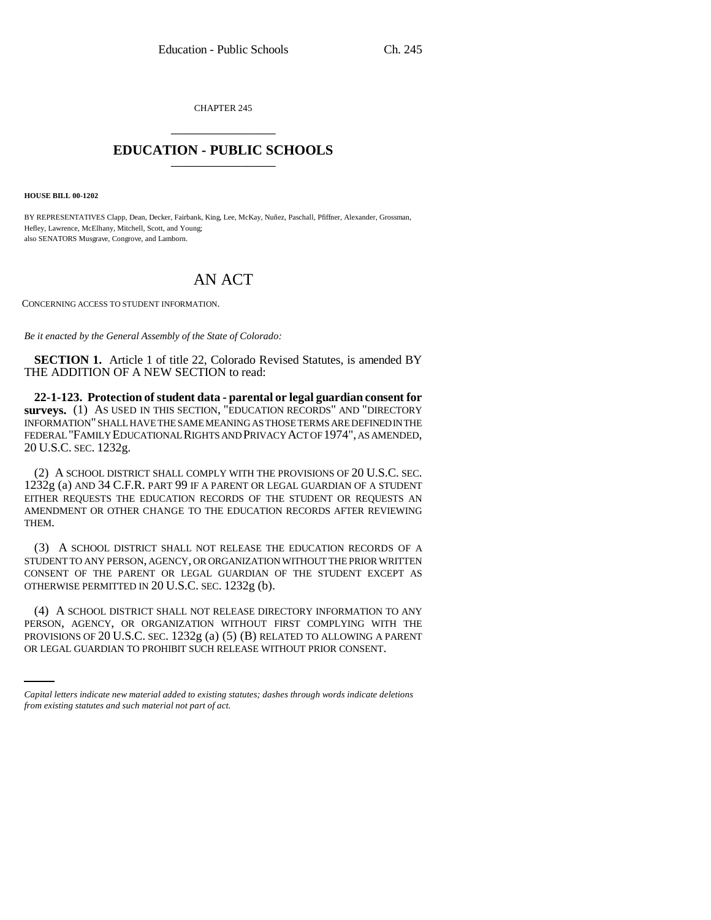CHAPTER 245 \_\_\_\_\_\_\_\_\_\_\_\_\_\_\_

## **EDUCATION - PUBLIC SCHOOLS** \_\_\_\_\_\_\_\_\_\_\_\_\_\_\_

**HOUSE BILL 00-1202** 

BY REPRESENTATIVES Clapp, Dean, Decker, Fairbank, King, Lee, McKay, Nuñez, Paschall, Pfiffner, Alexander, Grossman, Hefley, Lawrence, McElhany, Mitchell, Scott, and Young; also SENATORS Musgrave, Congrove, and Lamborn.

## AN ACT

CONCERNING ACCESS TO STUDENT INFORMATION.

*Be it enacted by the General Assembly of the State of Colorado:*

**SECTION 1.** Article 1 of title 22, Colorado Revised Statutes, is amended BY THE ADDITION OF A NEW SECTION to read:

**22-1-123. Protection of student data - parental or legal guardian consent for surveys.** (1) AS USED IN THIS SECTION, "EDUCATION RECORDS" AND "DIRECTORY INFORMATION" SHALL HAVE THE SAME MEANING AS THOSE TERMS ARE DEFINED IN THE FEDERAL "FAMILY EDUCATIONAL RIGHTS AND PRIVACY ACT OF 1974", AS AMENDED, 20 U.S.C. SEC. 1232g.

(2) A SCHOOL DISTRICT SHALL COMPLY WITH THE PROVISIONS OF 20 U.S.C. SEC. 1232g (a) AND 34 C.F.R. PART 99 IF A PARENT OR LEGAL GUARDIAN OF A STUDENT EITHER REQUESTS THE EDUCATION RECORDS OF THE STUDENT OR REQUESTS AN AMENDMENT OR OTHER CHANGE TO THE EDUCATION RECORDS AFTER REVIEWING THEM.

(3) A SCHOOL DISTRICT SHALL NOT RELEASE THE EDUCATION RECORDS OF A STUDENT TO ANY PERSON, AGENCY, OR ORGANIZATION WITHOUT THE PRIOR WRITTEN CONSENT OF THE PARENT OR LEGAL GUARDIAN OF THE STUDENT EXCEPT AS OTHERWISE PERMITTED IN 20 U.S.C. SEC. 1232g (b).

PERSON, AGENCY, OR ORGANIZATION WITHOUT FIRST COMPLYING WITH THE (4) A SCHOOL DISTRICT SHALL NOT RELEASE DIRECTORY INFORMATION TO ANY PROVISIONS OF 20 U.S.C. SEC. 1232g (a) (5) (B) RELATED TO ALLOWING A PARENT OR LEGAL GUARDIAN TO PROHIBIT SUCH RELEASE WITHOUT PRIOR CONSENT.

*Capital letters indicate new material added to existing statutes; dashes through words indicate deletions from existing statutes and such material not part of act.*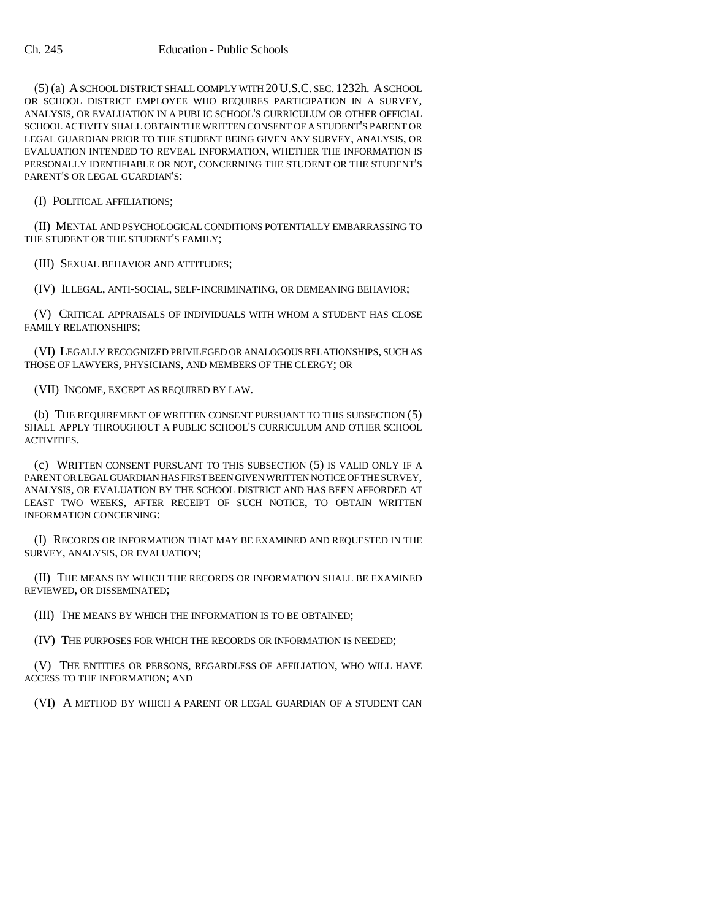(5) (a) A SCHOOL DISTRICT SHALL COMPLY WITH 20U.S.C. SEC. 1232h. A SCHOOL OR SCHOOL DISTRICT EMPLOYEE WHO REQUIRES PARTICIPATION IN A SURVEY, ANALYSIS, OR EVALUATION IN A PUBLIC SCHOOL'S CURRICULUM OR OTHER OFFICIAL SCHOOL ACTIVITY SHALL OBTAIN THE WRITTEN CONSENT OF A STUDENT'S PARENT OR LEGAL GUARDIAN PRIOR TO THE STUDENT BEING GIVEN ANY SURVEY, ANALYSIS, OR EVALUATION INTENDED TO REVEAL INFORMATION, WHETHER THE INFORMATION IS PERSONALLY IDENTIFIABLE OR NOT, CONCERNING THE STUDENT OR THE STUDENT'S PARENT'S OR LEGAL GUARDIAN'S:

(I) POLITICAL AFFILIATIONS;

(II) MENTAL AND PSYCHOLOGICAL CONDITIONS POTENTIALLY EMBARRASSING TO THE STUDENT OR THE STUDENT'S FAMILY;

(III) SEXUAL BEHAVIOR AND ATTITUDES;

(IV) ILLEGAL, ANTI-SOCIAL, SELF-INCRIMINATING, OR DEMEANING BEHAVIOR;

(V) CRITICAL APPRAISALS OF INDIVIDUALS WITH WHOM A STUDENT HAS CLOSE FAMILY RELATIONSHIPS;

(VI) LEGALLY RECOGNIZED PRIVILEGED OR ANALOGOUS RELATIONSHIPS, SUCH AS THOSE OF LAWYERS, PHYSICIANS, AND MEMBERS OF THE CLERGY; OR

(VII) INCOME, EXCEPT AS REQUIRED BY LAW.

(b) THE REQUIREMENT OF WRITTEN CONSENT PURSUANT TO THIS SUBSECTION (5) SHALL APPLY THROUGHOUT A PUBLIC SCHOOL'S CURRICULUM AND OTHER SCHOOL ACTIVITIES.

(c) WRITTEN CONSENT PURSUANT TO THIS SUBSECTION (5) IS VALID ONLY IF A PARENT OR LEGAL GUARDIAN HAS FIRST BEEN GIVEN WRITTEN NOTICE OF THE SURVEY, ANALYSIS, OR EVALUATION BY THE SCHOOL DISTRICT AND HAS BEEN AFFORDED AT LEAST TWO WEEKS, AFTER RECEIPT OF SUCH NOTICE, TO OBTAIN WRITTEN INFORMATION CONCERNING:

(I) RECORDS OR INFORMATION THAT MAY BE EXAMINED AND REQUESTED IN THE SURVEY, ANALYSIS, OR EVALUATION;

(II) THE MEANS BY WHICH THE RECORDS OR INFORMATION SHALL BE EXAMINED REVIEWED, OR DISSEMINATED;

(III) THE MEANS BY WHICH THE INFORMATION IS TO BE OBTAINED;

(IV) THE PURPOSES FOR WHICH THE RECORDS OR INFORMATION IS NEEDED;

(V) THE ENTITIES OR PERSONS, REGARDLESS OF AFFILIATION, WHO WILL HAVE ACCESS TO THE INFORMATION; AND

(VI) A METHOD BY WHICH A PARENT OR LEGAL GUARDIAN OF A STUDENT CAN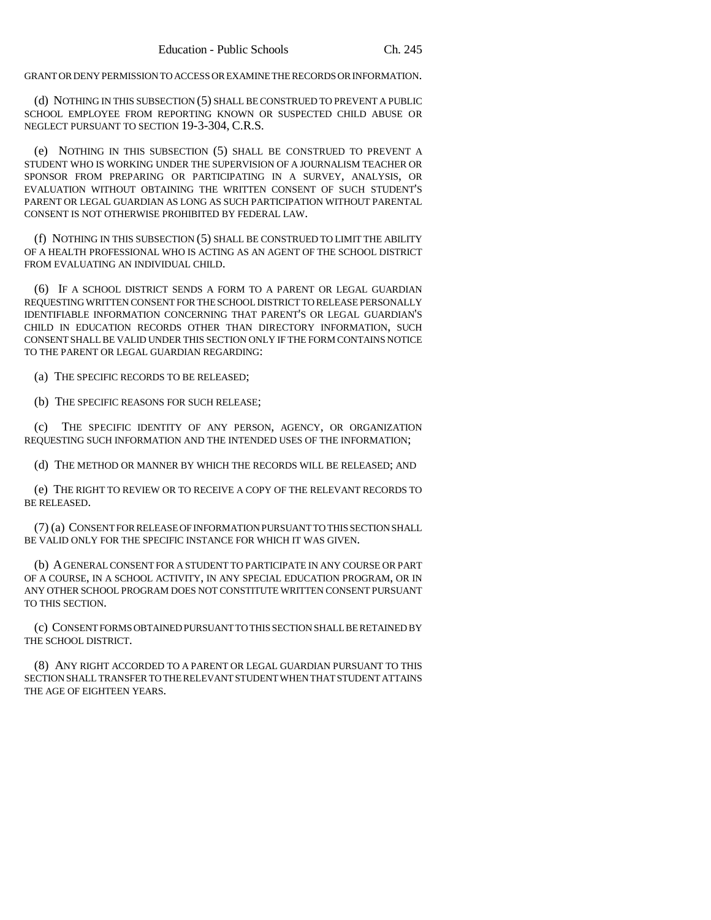GRANT OR DENY PERMISSION TO ACCESS OR EXAMINE THE RECORDS OR INFORMATION.

(d) NOTHING IN THIS SUBSECTION (5) SHALL BE CONSTRUED TO PREVENT A PUBLIC SCHOOL EMPLOYEE FROM REPORTING KNOWN OR SUSPECTED CHILD ABUSE OR NEGLECT PURSUANT TO SECTION 19-3-304, C.R.S.

(e) NOTHING IN THIS SUBSECTION (5) SHALL BE CONSTRUED TO PREVENT A STUDENT WHO IS WORKING UNDER THE SUPERVISION OF A JOURNALISM TEACHER OR SPONSOR FROM PREPARING OR PARTICIPATING IN A SURVEY, ANALYSIS, OR EVALUATION WITHOUT OBTAINING THE WRITTEN CONSENT OF SUCH STUDENT'S PARENT OR LEGAL GUARDIAN AS LONG AS SUCH PARTICIPATION WITHOUT PARENTAL CONSENT IS NOT OTHERWISE PROHIBITED BY FEDERAL LAW.

(f) NOTHING IN THIS SUBSECTION (5) SHALL BE CONSTRUED TO LIMIT THE ABILITY OF A HEALTH PROFESSIONAL WHO IS ACTING AS AN AGENT OF THE SCHOOL DISTRICT FROM EVALUATING AN INDIVIDUAL CHILD.

(6) IF A SCHOOL DISTRICT SENDS A FORM TO A PARENT OR LEGAL GUARDIAN REQUESTING WRITTEN CONSENT FOR THE SCHOOL DISTRICT TO RELEASE PERSONALLY IDENTIFIABLE INFORMATION CONCERNING THAT PARENT'S OR LEGAL GUARDIAN'S CHILD IN EDUCATION RECORDS OTHER THAN DIRECTORY INFORMATION, SUCH CONSENT SHALL BE VALID UNDER THIS SECTION ONLY IF THE FORM CONTAINS NOTICE TO THE PARENT OR LEGAL GUARDIAN REGARDING:

(a) THE SPECIFIC RECORDS TO BE RELEASED;

(b) THE SPECIFIC REASONS FOR SUCH RELEASE;

(c) THE SPECIFIC IDENTITY OF ANY PERSON, AGENCY, OR ORGANIZATION REQUESTING SUCH INFORMATION AND THE INTENDED USES OF THE INFORMATION;

(d) THE METHOD OR MANNER BY WHICH THE RECORDS WILL BE RELEASED; AND

(e) THE RIGHT TO REVIEW OR TO RECEIVE A COPY OF THE RELEVANT RECORDS TO BE RELEASED.

(7) (a) CONSENT FOR RELEASE OF INFORMATION PURSUANT TO THIS SECTION SHALL BE VALID ONLY FOR THE SPECIFIC INSTANCE FOR WHICH IT WAS GIVEN.

(b) A GENERAL CONSENT FOR A STUDENT TO PARTICIPATE IN ANY COURSE OR PART OF A COURSE, IN A SCHOOL ACTIVITY, IN ANY SPECIAL EDUCATION PROGRAM, OR IN ANY OTHER SCHOOL PROGRAM DOES NOT CONSTITUTE WRITTEN CONSENT PURSUANT TO THIS SECTION.

(c) CONSENT FORMS OBTAINED PURSUANT TO THIS SECTION SHALL BE RETAINED BY THE SCHOOL DISTRICT.

(8) ANY RIGHT ACCORDED TO A PARENT OR LEGAL GUARDIAN PURSUANT TO THIS SECTION SHALL TRANSFER TO THE RELEVANT STUDENT WHEN THAT STUDENT ATTAINS THE AGE OF EIGHTEEN YEARS.